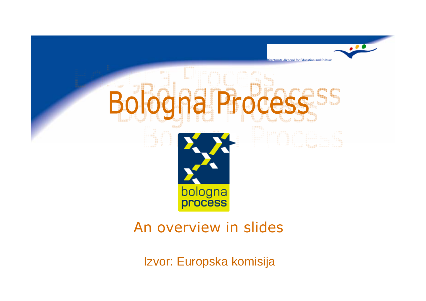

#### An overview in slides

Izvor: Europska komisija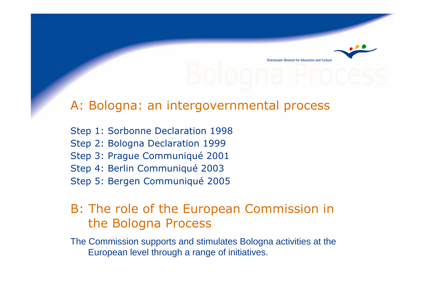# r Education and Cultur

#### A: Bologna: an intergovernmental process

Step 1: Sorbonne Declaration 1998 Step 2: Bologna Declaration 1999 Step 3: Prague Communiqué 2001 Step 4: Berlin Communiqué 2003 Step 5: Bergen Communiqué 2005

#### B: The role of the European Commission in the Bologna Process

The Commission supports and stimulates Bologna activities at the European level through a range of initiatives.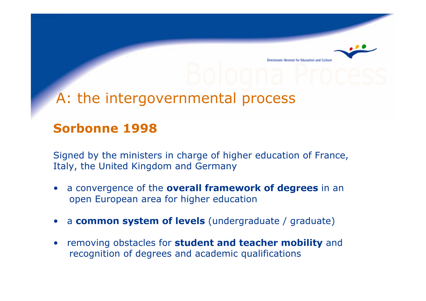#### A: the intergovernmental process

#### Sorbonne 1998

Signed by the ministers in charge of higher education of France, Italy, the United Kingdom and Germany

for Education and Culture

- •a convergence of the overall framework of degrees in an open European area for higher education
- •a common system of levels (undergraduate / graduate)
- •removing obstacles for **student and teacher mobility** and recognition of degrees and academic qualifications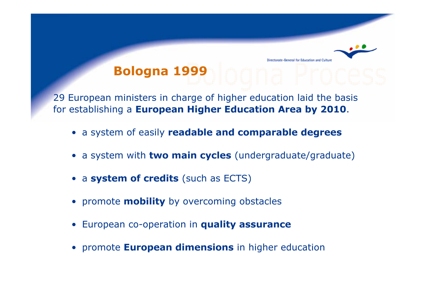#### **General for Education and Culture** Bologna 1999

29 European ministers in charge of higher education laid the basis for establishing a European Higher Education Area by 2010.

- a system of easily readable and comparable degrees
- a system with **two main cycles** (undergraduate/graduate)
- a system of credits (such as ECTS)
- promote **mobility** by overcoming obstacles
- **•** European co-operation in **quality assurance**
- **promote European dimensions** in higher education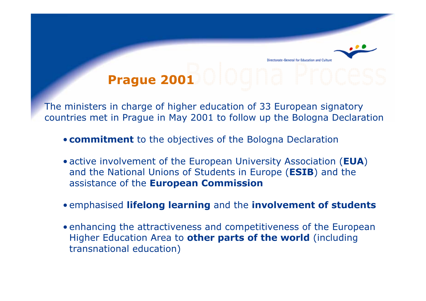## Prague 2001

The ministers in charge of higher education of 33 European signatory countries met in Prague in May 2001 to follow up the Bologna Declaration

- **commitment** to the objectives of the Bologna Declaration
- active involvement of the European University Association (EUA) and the National Unions of Students in Europe (ESIB) and the assistance of the **European Commission**
- emphasised lifelong learning and the involvement of students
- enhancing the attractiveness and competitiveness of the European Higher Education Area to other parts of the world (including transnational education)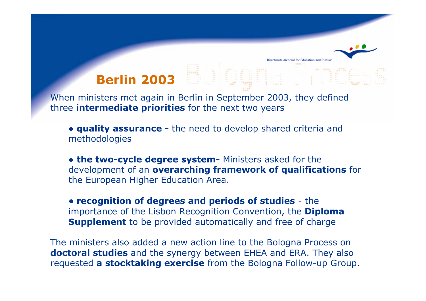## Berlin 2003

ctorate-General for Education and Cultu

When ministers met again in Berlin in September 2003, they defined three **intermediate priorities** for the next two years

• quality assurance - the need to develop shared criteria and methodologies

• the two-cycle degree system- Ministers asked for the development of an overarching framework of qualifications for the European Higher Education Area.

● recognition of degrees and periods of studies - the importance of the Lisbon Recognition Convention, the **Diploma** Supplement to be provided automatically and free of charge

The ministers also added a new action line to the Bologna Process on doctoral studies and the synergy between EHEA and ERA. They also requested a stocktaking exercise from the Bologna Follow-up Group.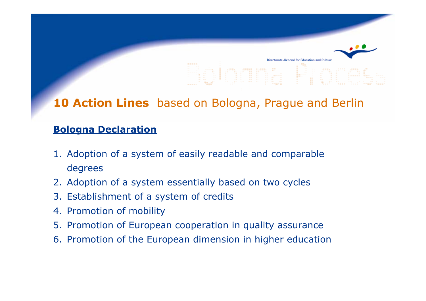#### 10 Action Lines based on Bologna, Prague and Berlin

#### Bologna Declaration

- 1. Adoption of a system of easily readable and comparable degrees
- 2. Adoption of a system essentially based on two cycles
- 3. Establishment of a system of credits
- 4. Promotion of mobility
- 5. Promotion of European cooperation in quality assurance
- 6. Promotion of the European dimension in higher education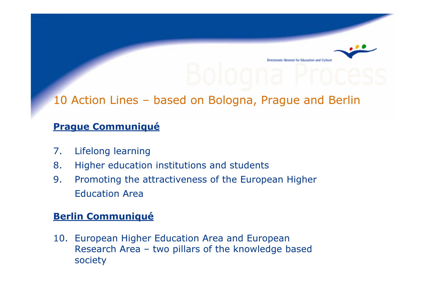for Education and Culture

#### 10 Action Lines – based on Bologna, Prague and Berlin

#### Prague Communiqué

- 7. Lifelong learning
- 8. Higher education institutions and students
- 9. Promoting the attractiveness of the European Higher Education Area

#### Berlin Communiqué

10. European Higher Education Area and European Research Area – two pillars of the knowledge based society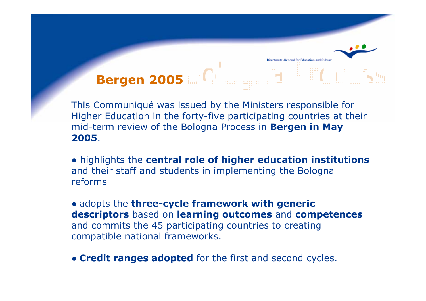## Bergen 2005

This Communiqué was issued by the Ministers responsible for Higher Education in the forty-five participating countries at their mid-term review of the Bologna Process in Bergen in May 2005.

• highlights the central role of higher education institutions and their staff and students in implementing the Bologna reforms

• adopts the three-cycle framework with generic descriptors based on learning outcomes and competences and commits the 45 participating countries to creating compatible national frameworks.

• Credit ranges adopted for the first and second cycles.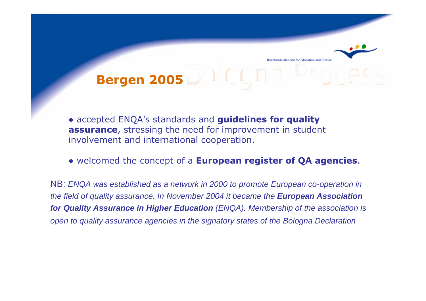## Bergen 2005

ral for Education and Cultun

• accepted ENQA's standards and guidelines for quality assurance, stressing the need for improvement in student involvement and international cooperation.

#### • welcomed the concept of a European register of QA agencies.

NB: *ENQA was established as a network in 2000 to promote European co-operation in the field of quality assurance. In November 2004 it became the <i>European Association for Quality Assurance in Higher Education (ENQA). Membership of the association is open to quality assurance agencies in the signatory states of the Bologna Declaration*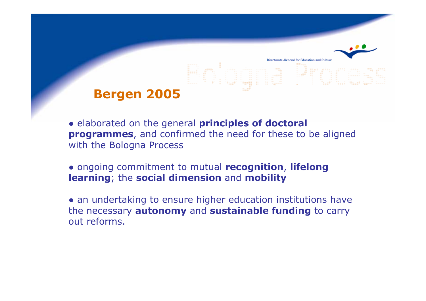#### Bergen 2005

• elaborated on the general principles of doctoral programmes, and confirmed the need for these to be aligned with the Bologna Process

for Education and Cultur

• ongoing commitment to mutual recognition, lifelong learning; the social dimension and mobility

• an undertaking to ensure higher education institutions have the necessary **autonomy** and **sustainable funding** to carry out reforms.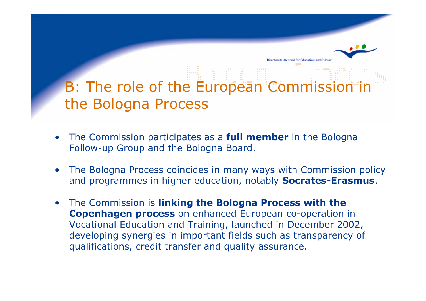## B: The role of the European Commission in the Bologna Process

-General for Education and Cultun

- •The Commission participates as a **full member** in the Bologna Follow-up Group and the Bologna Board.
- • The Bologna Process coincides in many ways with Commission policy and programmes in higher education, notably **Socrates-Erasmus**.
- $\bullet$  The Commission is linking the Bologna Process with the Copenhagen process on enhanced European co-operation in Vocational Education and Training, launched in December 2002, developing synergies in important fields such as transparency of qualifications, credit transfer and quality assurance.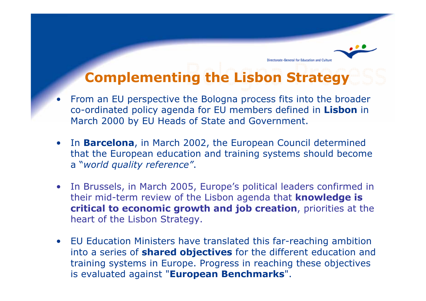#### Complementing the Lisbon Strategy

torate-General for Education and Culture

- • From an EU perspective the Bologna process fits into the broader co-ordinated policy agenda for EU members defined in Lisbon in March 2000 by EU Heads of State and Government.
- In Barcelona, in March 2002, the European Council determined that the European education and training systems should become a "world quality reference".
- • In Brussels, in March 2005, Europe's political leaders confirmed in their mid-term review of the Lisbon agenda that **knowledge is** critical to economic growth and job creation, priorities at the heart of the Lisbon Strategy.
- • EU Education Ministers have translated this far-reaching ambition into a series of **shared objectives** for the different education and training systems in Europe. Progress in reaching these objectives is evaluated against "European Benchmarks".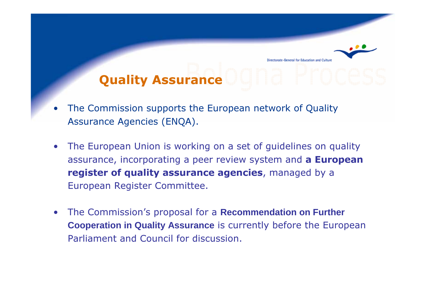#### for Education and Cultur Quality Assurance

- • The Commission supports the European network of Quality Assurance Agencies (ENQA).
- $\bullet$  The European Union is working on a set of guidelines on quality assurance, incorporating a peer review system and a European register of quality assurance agencies, managed by a European Register Committee.
- $\bullet$  The Commission's proposal for a **Recommendation on Further Cooperation in Quality Assurance** is currently before the European Parliament and Council for discussion.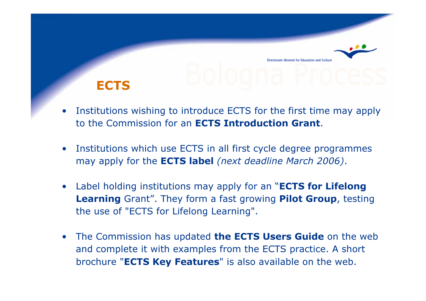• Institutions wishing to introduce ECTS for the first time may apply to the Commission for an ECTS Introduction Grant.

**ECTS** 

- • Institutions which use ECTS in all first cycle degree programmes may apply for the **ECTS label** (next deadline March 2006).
- •Label holding institutions may apply for an "**ECTS for Lifelong** Learning Grant". They form a fast growing Pilot Group, testing the use of "ECTS for Lifelong Learning".
- The Commission has updated **the ECTS Users Guide** on the web and complete it with examples from the ECTS practice. A short brochure "ECTS Key Features" is also available on the web.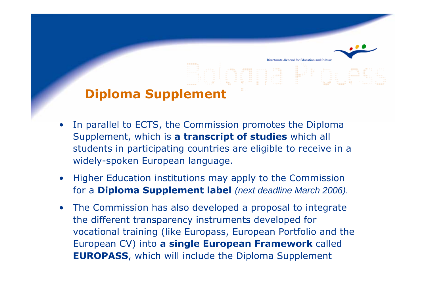#### Diploma Supplement

• In parallel to ECTS, the Commission promotes the Diploma Supplement, which is a transcript of studies which all students in participating countries are eligible to receive in a widely-spoken European language.

for Education and Cultur

- • Higher Education institutions may apply to the Commission for a Diploma Supplement label *(next deadline March 2006)*.
- $\bullet$  The Commission has also developed a proposal to integrate the different transparency instruments developed for vocational training (like Europass, European Portfolio and the European CV) into a single European Framework called EUROPASS, which will include the Diploma Supplement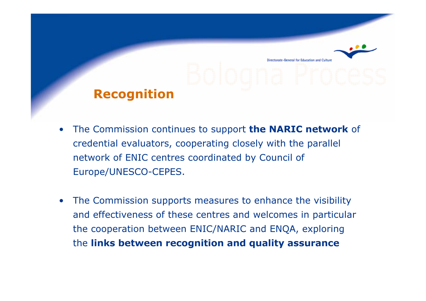# Recognition

- •The Commission continues to support the NARIC network of credential evaluators, cooperating closely with the parallel network of ENIC centres coordinated by Council of Europe/UNESCO-CEPES.
- • The Commission supports measures to enhance the visibility and effectiveness of these centres and welcomes in particular the cooperation between ENIC/NARIC and ENQA, exploring the links between recognition and quality assurance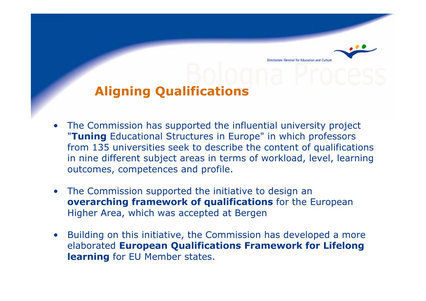#### Aligning Qualifications

• The Commission has supported the influential university project "Tuning Educational Structures in Europe" in which professors from 135 universities seek to describe the content of qualifications in nine different subject areas in terms of workload, level, learning outcomes, competences and profile.

orate-General for Education and Cultur

- The Commission supported the initiative to design an overarching framework of qualifications for the European Higher Area, which was accepted at Bergen
- $\bullet$  Building on this initiative, the Commission has developed a more elaborated European Qualifications Framework for Lifelong learning for EU Member states.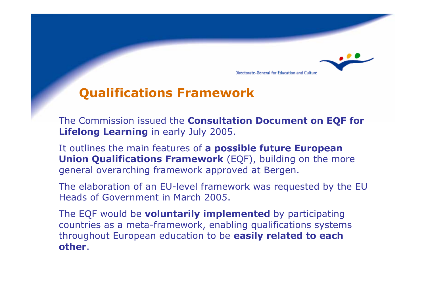

#### Qualifications Framework

The Commission issued the **Consultation Document on EQF for** Lifelong Learning in early July 2005.

It outlines the main features of a possible future European Union Qualifications Framework (EQF), building on the more general overarching framework approved at Bergen.

The elaboration of an EU-level framework was requested by the EU Heads of Government in March 2005.

The EQF would be **voluntarily implemented** by participating countries as a meta-framework, enabling qualifications systems throughout European education to be easily related to each other.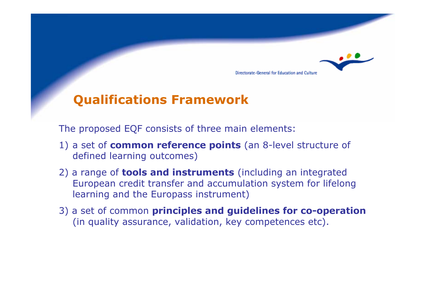#### Qualifications Framework

The proposed EQF consists of three main elements:

1) a set of **common reference points** (an 8-level structure of defined learning outcomes)

Directorate-General for Education and Culture

- 2) a range of **tools and instruments** (including an integrated European credit transfer and accumulation system for lifelong learning and the Europass instrument)
- 3) a set of common principles and guidelines for co-operation (in quality assurance, validation, key competences etc).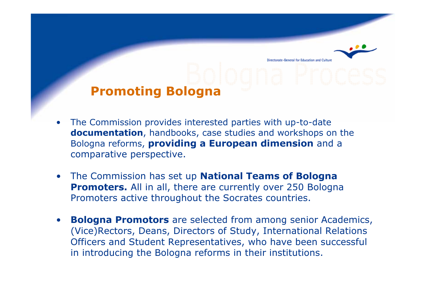## Promoting Bologna

• The Commission provides interested parties with up-to-date documentation, handbooks, case studies and workshops on the Bologna reforms, providing a European dimension and a comparative perspective.

-General for Education and Cultu

- •The Commission has set up **National Teams of Bologna Promoters.** All in all, there are currently over 250 Bologna Promoters active throughout the Socrates countries.
- • Bologna Promotors are selected from among senior Academics, (Vice)Rectors, Deans, Directors of Study, International Relations Officers and Student Representatives, who have been successful in introducing the Bologna reforms in their institutions.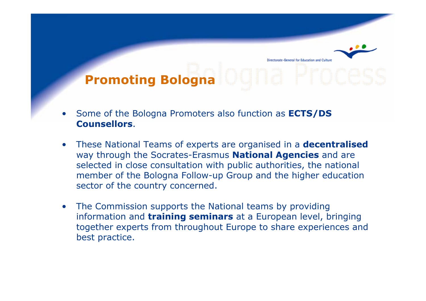## Promoting Bologna

irectorate-General for Education and Cultur

- • Some of the Bologna Promoters also function as ECTS/DS Counsellors.
- •These National Teams of experts are organised in a **decentralised** way through the Socrates-Erasmus National Agencies and are selected in close consultation with public authorities, the national member of the Bologna Follow-up Group and the higher education sector of the country concerned.
- • The Commission supports the National teams by providing information and training seminars at a European level, bringing together experts from throughout Europe to share experiences and best practice.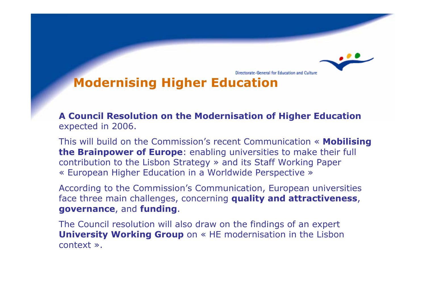#### Modernising Higher Education

A Council Resolution on the Modernisation of Higher Education expected in 2006.

Directorate-General for Education and Culture

This will build on the Commission's recent Communication « **Mobilising** the Brainpower of Europe: enabling universities to make their full contribution to the Lisbon Strategy » and its Staff Working Paper « European Higher Education in a Worldwide Perspective »

According to the Commission's Communication, European universities face three main challenges, concerning quality and attractiveness, governance, and funding.

The Council resolution will also draw on the findings of an expert University Working Group on « HE modernisation in the Lisbon context ».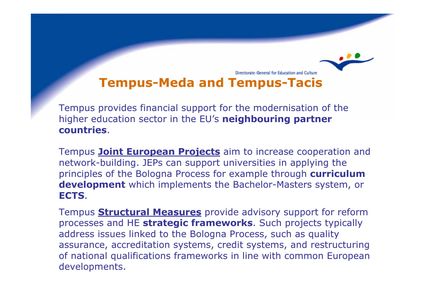#### Directorate-General for Education and Culture Tempus-Meda and Tempus-Tacis

Tempus provides financial support for the modernisation of the higher education sector in the EU's **neighbouring partner** countries.

Tempus **Joint European Projects** aim to increase cooperation and network-building. JEPs can support universities in applying the principles of the Bologna Process for example through curriculum development which implements the Bachelor-Masters system, or ECTS.

Tempus **Structural Measures** provide advisory support for reform processes and HE strategic frameworks. Such projects typically address issues linked to the Bologna Process, such as quality assurance, accreditation systems, credit systems, and restructuring of national qualifications frameworks in line with common European developments.